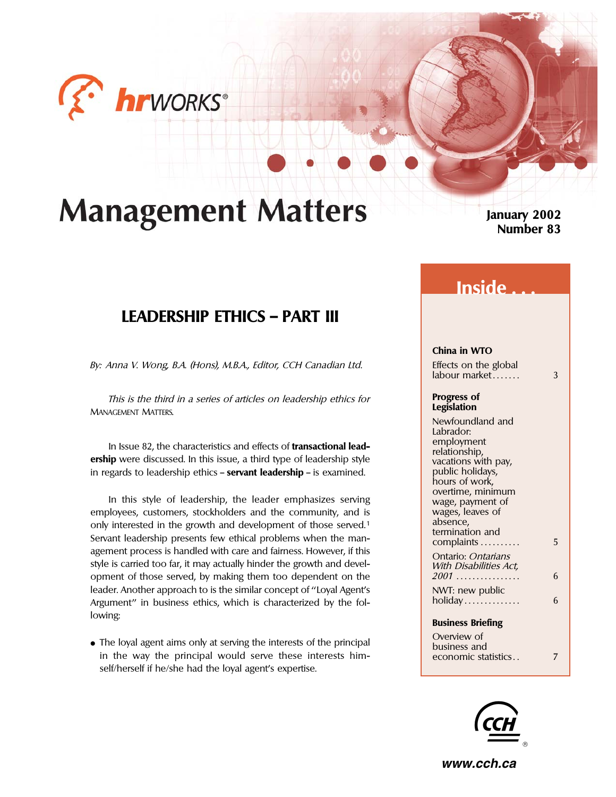

# **Management Matters**

**January 2002 Number 83**

## **LEADERSHIP ETHICS — PART III**

By: Anna V. Wong, B.A. (Hons), M.B.A., Editor, CCH Canadian Ltd. Effects on the global

This is the third in a series of articles on leadership ethics for **Progress of MANAGEMENT MATTERS.** 

In Issue 82, the characteristics and effects of **transactional lead-**<br> **ership** were discussed. In this issue, a third type of leadership style<br>
in regards to leadership ethics **– servant leadership –** is examined.<br>
public in regards to leadership ethics – **servant leadership** – is examined.

In this style of leadership, the leader emphasizes serving wage, payment of employees, customers, stockholders and the community, and is wages, leaves of a wages, leaves of entity in the growth and development of those sensed 1 only interested in the growth and development of those served.<sup>1</sup> absence, the development of those served.<sup>1</sup> Servant leadership presents few ethical problems when the man-<br>5 agement process is handled with care and fairness. However, if this Ontario: Ontarians<br>style is carried too far, it may actually hinder the growth and devel-<br>With Disabilities Act, style is carried too far, it may actually hinder the growth and devel-<br>opment of those served, by making them too dependent on the 2001................. opment of those served, by making them too dependent on the 2001 ................ 6 leader. Another approach to is the similar concept of "Loyal Agent's NWT: new public Argument'' in business ethics, which is characterized by the fol- holiday .............. 6 lowing: **Business Briefing** 

• The loyal agent aims only at serving the interests of the principal business and business and in the way the principal would serve these interests himin the way the principal would serve these interests himself/herself if he/she had the loyal agent's expertise.

## **Inside . . .**

### **China in WTO**

 $labour market$   $3$ 

Newfoundland and Labrador:<br>employment hours of work,<br>overtime, minimum

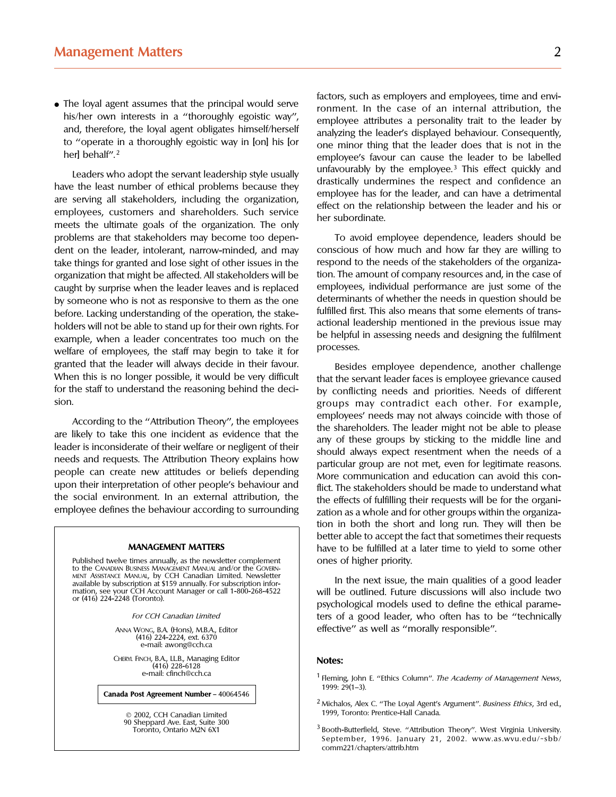• The loyal agent assumes that the principal would serve<br>his/her own interests in a "thoroughly egoistic way",<br>and, therefore, the loyal agent obligates himself/herself<br>to "operate in a thoroughly egoistic way in [on] his

Leaders who adopt the servant leadership style usually<br>have the least number of ethical problems because they<br>are serving all stakeholders, including the organization,<br>employee has for the leader, and can have a detrimenta problems are that stakeholders may become too depen- To avoid employee dependence, leaders should be dent on the leader, intolerant, narrow-minded, and may conscious of how much and how far they are willing to take things for granted and lose sight of other issues in the respond to the needs of the stakeholders of the organizaorganization that might be affected. All stakeholders will be tion. The amount of company resources and, in the case of caught by surprise when the leader leaves and is replaced employees, individual performance are just some of the<br>by someone who is not as responsive to them as the one determinants of whether the needs in question should b by someone who is not as responsive to them as the one determinants of whether the needs in question should be<br>hefore Lacking understanding of the operation the stake. fulfilled first. This also means that some elements of before. Lacking understanding of the operation, the stake-<br>holders will not be able to stand un for their own rights For actional leadership mentioned in the previous issue may holders will not be able to stand up for their own rights. For<br>example, when a leader concentrates too much on the<br>welfare of employees the staff may begin to take it for welfare of employees, the staff may begin to take it for granted that the leader will always decide in their favour.<br>When this is no longer possible, it would be very difficult that the servant leader faces is employee grievance caused When this is no longer possible, it would be very difficult that the servant leader faces is employee grievance caused<br>for the staff to understand the reasoning behind the deci-<br>by conflicting needs, and priorities. Needs sion. groups may contradict each other. For example,

upon their interpretation of other people's behaviour and<br>the social environment. In an external attribution, the the effects of fulfilling their requests will be for the organi-

Published twelve times annually, as the newsletter complement<br>to the CANADIAN BUSINESS MANAGEMENT MANUAL and/or the GOVERN-<br>MENT ASSISTANCE MANUAL, by CCH Canadian Limited. Newsletter In the next issue t

(416) 224-2224, ext. 6370 e-mail: awong@cch.ca

CHERYL FINCH, B.A., LL.B., Managing Editor **Notes:** (416) 228-6128

**Canada Post Agreement Number** — 40064546

© 2002, CCH Canadian Limited<br>90 Sheppard Ave. East, Suite 300

factors, such as employers and employees, time and envi her] behalf".<sup>2</sup> employee's favour can cause the leader to be labelled

by conflicting needs and priorities. Needs of different According to the "Attribution Theory", the employees<br>are likely to take this one incident as evidence that the<br>leader is inconsiderate of their welfare or negligent of their<br>needs and requests. The Attribution Theory expla the effects of fulfilling their requests will be for the organiemployee defines the behaviour according to surrounding zation as a whole and for other groups within the organization in both the short and long run. They will then be better able to accept the fact that sometimes their requests **MANAGEMENT MATTERS** have to be fulfilled at a later time to yield to some other

MENT ASSISTANCE MANUAL, by CCH Canadian Limited. Newsletter<br>available by subscription at \$159 annually. For subscription infor-<br>mation, see your CCH Account Manager or call 1-800-268-4522 | | | | | | | | | | | | | | | | | or (416) 224-2248 (Toronto).<br> **Experiments with the outline that include the ethical parame-**<br>
psychological models used to define the ethical parame-For CCH Canadian Limited **term** ters of a good leader, who often has to be "technically ANNA WONG, B.A. (Hons), M.B.A., Editor effective'' as well as ''morally responsible''.

- $^2$  Michalos, Alex C. "The Loyal Agent's Argument". Business Ethics, 3rd ed., 1999, Toronto: Prentice-Hall Canada.
- Toronto, Ontario M2N 6X1 **Booth-Butterfield, Steve. "Attribution Theory**". West Virginia University. September, 1996. January 21, 2002. www.as.wvu.edu/~sbb/ comm221/chapters/attrib.htm

<sup>&</sup>lt;sup>1</sup> Fleming, John E. "Ethics Column". The Academy of Management News, 1999: 29(1–3).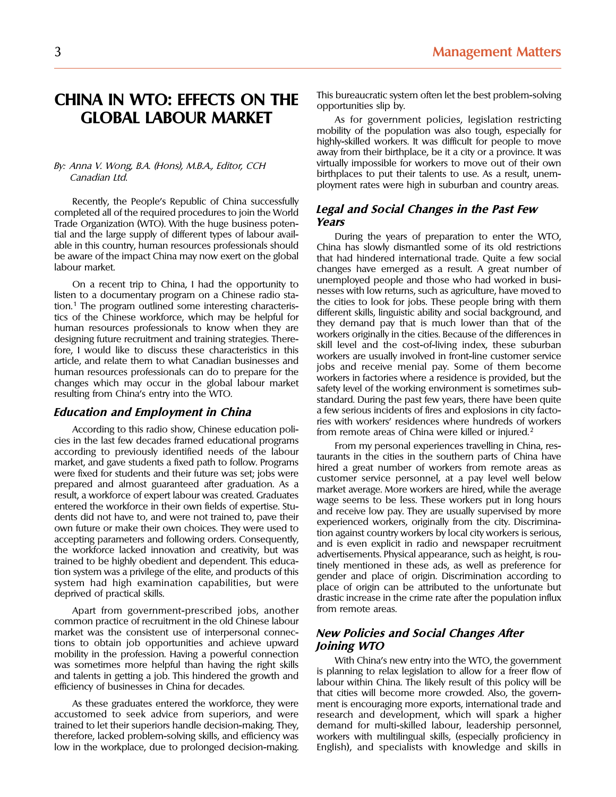# **GLOBAL LABOUR MARKET** As for government policies, legislation restricting

Recently, the People's Republic of China successfully completed all of the required procedures to join the World **Legal and Social Changes in the Past Few** Trade Organization (WTO). With the huge business potential and the large supply of different types of labour avail-<br>able in this country, human resources professionals should<br>China has slowly dismantled some of its old restrictions

According to this radio show, Chinese education poli-<br>cies in the last few decades framed educational programs<br>
From remonstrated areas of China were killed or injured.<sup>2</sup> cies in the last few decades framed educational programs<br>according to previously identified needs of the labour<br>market, and gave students a fixed path to follow. Programs<br>market, and gave students and their future was set;

Apart from government-prescribed jobs, another from remote areas. common practice of recruitment in the old Chinese labour market was the consistent use of interpersonal connec-<br>tions to obtain job opportunities and achieve upward<br>**Ining WTO** tions to obtain job opportunities and achieve upward<br>
mobility in the profession. Having a powerful connection<br>
was sometimes more helpful than having the right skills<br>
and talents in getting a job. This hindered the growt

As these graduates entered the workforce, they were ment is encouraging more exports, international trade and accustomed to seek advice from superiors, and were research and development, which will spark a higher accustomed to seek advice from superiors, and were research and development, which will spark a higher trained to let their superiors handle decision-making. They, demand for multi-skilled labour, leadership personnel, therefore, lacked problem-solving skills, and efficiency was workers with multilingual skills, (especially proficiency in low in the workplace, due to prolonged decision-making. English), and specialists with knowledge and

CHINA IN WTO: EFFECTS ON THE This bureaucratic system often let the best problem-solving

mobility of the population was also tough, especially for highly-skilled workers. It was difficult for people to move away from their birthplace, be it a city or a province. It was By: Anna V. Wong, B.A. (Hons), M.B.A., Editor, CCH virtually impossible for workers to move out of their own<br>Canadian Itd Canadian Ltd. Canadian Ltd. ployment rates to put their talents to use. As a result, unem-<br>ployment rates were high in suburban and country areas.

able in this country, human resources professionals should China has slowly dismantled some of its old restrictions<br>be aware of the impact China may now exert on the global that had hindered international trade. Quite a fe be aware of the impact China may now exert on the global that had hindered international trade. Quite a few social<br>changes have emerged as a result. A great number of changes have emerged as a result. A great number of On a recent trip to China, I had the opportunity to<br>listen to a documentary program on a Chinese radio sta-<br>tion.<sup>1</sup> The program outlined some interesting characteris-<br>tics of the Chinese workforce, which may be helpful fo **Education and Employment in China** a few serious incidents of fires and explosions in city factories with workers' residences where hundreds of workers

demand for multi-skilled labour, leadership personnel, English), and specialists with knowledge and skills in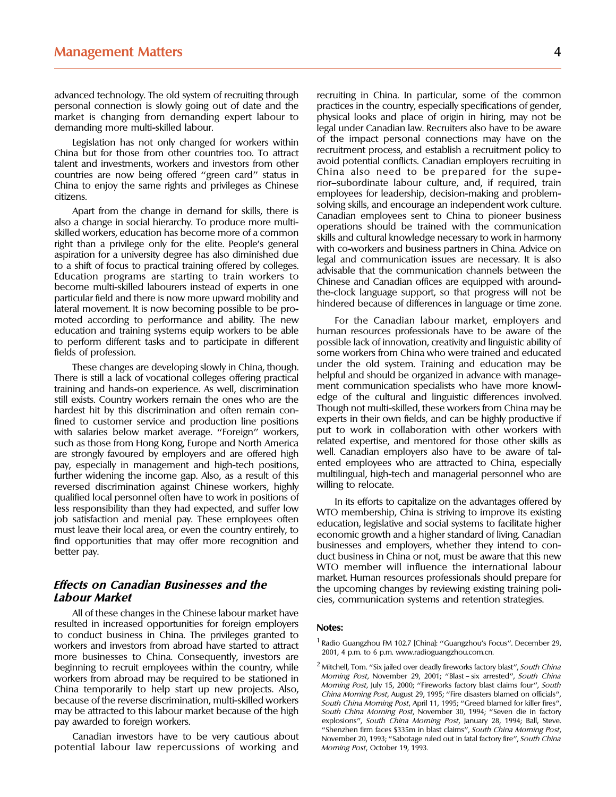advanced technology. The old system of recruiting through recruiting in China. In particular, some of the common personal connection is slowly going out of date and the practices in the country, especially specifications of gender, market is changing from demanding expert labour to physical looks and place of origin in hiring, may not be

talent and investments, workers and investors from other avoid potential conflicts. Canadian employers recruiting in countries are now being offered "green card" status in China also need to be prepared for the supe-<br>China China to enjoy the same rights and privileges as Chinese

Apart from the change in demand for skills, there is<br>also a change in social hierarchy. To produce more multi-<br>skilled workers, education has become more of a common<br>skills and employees sent to China to pioneer business<br>s moted according to performance and ability. The new For the Canadian labour market, employers and education and training systems equip workers to be able human resources professionals have to be aware of the to perform different tasks and to participate in different possible lack of innovation, creativity and linguistic ability of

hardest hit by this discrimination and often remain con-<br>fined to customer service and production line positions experts in their own fields, and can be highly productive if fined to customer service and production line positions experts in their own fields, and can be highly productive if<br>with salaries below market average "Foreign" workers but to work in collaboration with other workers with with salaries below market average. "Foreign" workers, put to work in collaboration with other workers with<br>such as those from Hong Kong Europe and North America e related expertise, and mentored for those other skills as such as those from Hong Kong, Europe and North America related expertise, and mentored for those other skills as<br>are strongly favoured by employers and are offered high well. Canadian employers also have to be aware of tal are strongly favoured by employers and are offered high well. Canadian employers also have to be aware of tal-<br>pay, especially in management and high-tech positions. The ented employees who are attracted to China, especial pay, especially in management and high-tech positions, ented employees who are attracted to China, especially<br>further widening the income gap, Also, as a result of this multilingual, high-tech and managerial personnel who further widening the income gap. Also, as a result of this multilingual, high-tech and managerial personnel per<br>tech and managerial personnel personnel who are relocate. reversed discrimination against Chinese workers, highly

All of these changes in the Chinese labour market have resulted in increased opportunities for foreign employers **Notes:** to conduct business in China. The privileges granted to<br>workers and investors from abroad bave started to attract <sup>1</sup> Radio Guangzhou FM 102.7 [China]: "Guangzhou's Focus". December 29, workers and investors from abroad have started to attract Radio Guangzhou FM 102.7 [China]: "Guangzhou's Focus<br>2001, 4 p.m. to 6 p.m. www.radioguangzhou.com.cn. more businesses to China. Consequently, investors are a soul, 4 p.m. to 6 p.m. www.radioguangzhou.com.cn.<br>beginning to recruit employees within the country, while  $\frac{2 \text{ Mitchell, Tom.}}{3}$  Mitchell, Tom. "Six jailed over deadly fi beginning to recruit employees within the country, while  $\frac{2}{3}$  Mitchell, Tom. "Six jailed over deadly fireworks factory blast", South China<br>Workers from abroad may be required to be stationed in Morning Post, November workers from abroad may be required to be stationed in Morning Post, November 29, 2001; "Blast – six arrested", South China<br>China tomporarily to holp start un now projects. Also Morning Post, July 15, 2000; "Fireworks fact China temporarily to help start up new projects. Also,<br>because of the reverse discrimination, multi-skilled workers<br>may be attracted to this labour market because of the high *South China Morning Post*, April 11, 1995; "Gr pay awarded to foreign workers. explosions'', South China Morning Post, January 28, 1994; Ball, Steve.

potential labour law repercussions of working and *Morning Post*, October 19, 1993.

demanding more multi-skilled labour. legal under Canadian law. Recruiters also have to be aware Legislation has not only changed for workers within of the impact personal connections may have on the China but for those from other countries too. To attract recruitment process, and establish a recruitment policy to the employees for leadership, decision-making and problem-<br>citizens. enterprise the change in demand for alilly there is solving skills, and encourage an independent work culture.

fields of profession. some workers from China who were trained and educated These changes are developing slowly in China, though. Under the old system. Training and education may be<br>There is still a lack of vocational colleges offering practical<br>training and hands-on experience. As well, discrimin

qualified local personnel often have to work in positions of<br>less responsibility than they had expected, and suffer low<br>job satisfaction and menial pay. These employees often<br>must leave their local area, or even the countr WTO member will influence the international labour **Effects on Canadian Businesses and the** market. Human resources professionals should prepare for<br>**Effects on Canadian Businesses and the** the upcoming changes by reviewing existing training poli-<br>cies. communication syste **Labour Market** cies, communication systems and retention strategies.

South China Morning Post, November 30, 1994; "Seven die in factory "Shenzhen firm faces \$335m in blast claims", South China Morning Post, Canadian investors have to be very cautious about November 20, 1993; ''Sabotage ruled out in fatal factory fire'', South China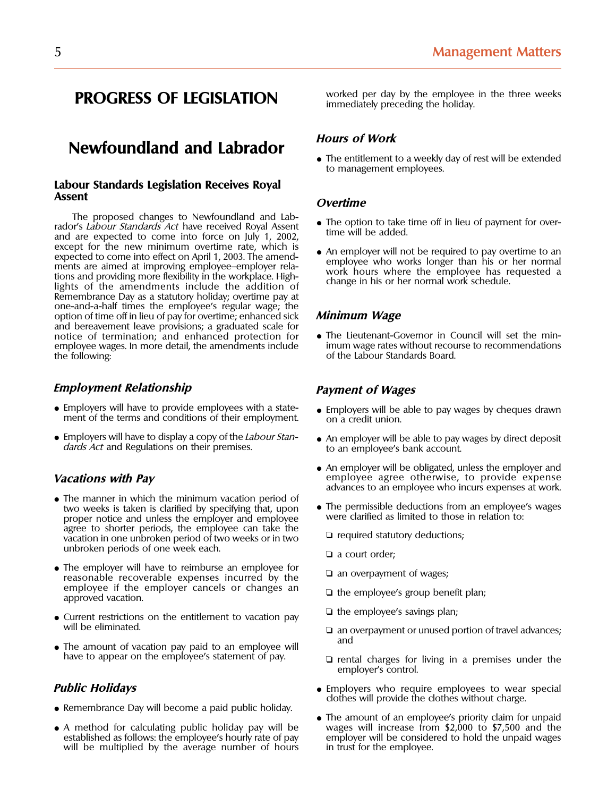## **Newfoundland and Labrador** *Hours of Work*<br>• The entitlement to a weekly day of rest will be extended

## **Labour Standards Legislation Receives Royal Assent Overtime**

The proposed changes to Newfoundland and Lab-<br>rador's *Labour Standards Act* have received Royal Assent<br>and are expected to come into force on July 1, 2002,<br>time will be added. except for the new minimum overtime rate, which is<br>expected to come into effect on April 1, 2003. The amend-<br>ments are aimed at improving employee-employer rela-<br>tions and providing more flexibility in the workplace. High-Remembrance Day as a statutory holiday; overtime pay at one-and-a-half times the employee's regular wage; the option of time off in lieu of pay for overtime; enhanced sick **Minimum Wage** and bereavement leave provisions; a graduated scale for notice of termination; and enhanced protection for • The Lieutenant-Governor in Council will set the min-<br>employee wages. In more detail, the amendments include imum wage rates without recourse to recommendations employee wages. In more detail, the amendments include the following:

### **Employment Relationship Constraining Payment of Wages**

- Employers will have to provide employees with a state-<br>ment of the terms and conditions of their employment. on a credit union.
- Employers will have to display a copy of the *Labour Stan*-<br>dards Act and Regulations on their premises. to an employee's bank account.

- The manner in which the minimum vacation period of proper notice and unless the employer and employee agree to shorter periods, the employee can take the agree to shorter periods, the employee can take the medicine ⊃ required statutory deductions; vacation in one unbroken period of two weeks or in two unbroken periods of one week each.  $\Box$  a court order;
- The employer will have to reimburse an employee for <br>
□ an overpayment of wages;<br>
reasonable recoverable expenses incurred by the □ an overpayment of wages; employee if the employer cancels or changes an <br>approved vacation.  $\Box$  the employee's group benefit plan;
- Current restrictions on the entitlement to vacation pay  $\Box$  the employee's savings plan;<br>will be eliminated.
- The amount of vacation pay paid to an employee will have to appear on the employee's statement of pay.

- Remembrance Day will become a paid public holiday.
- A method for calculating public holiday pay will be wages will increase from \$2,000 to \$7,500 and the established as follows: the employee's hourly rate of pay employer will be considered to hold the unpaid wages established as follows: the employee's hourly rate of pay employer will be considered will be multiplied by the average number of hours in trust for the employee. will be multiplied by the average number of hours

**PROGRESS OF LEGISLATION** worked per day by the employee in the three weeks immediately preceding the holiday.

to management employees.

- 
- 

of the Labour Standards Board.

- 
- 
- An employer will be obligated, unless the employer and **Vacations with Pay** employee agree otherwise, to provide expense advances to an employee who incurs expenses at work.
	- two weeks is taken is clarified by specifying that, upon <br>permissible deductions from an employee's wages<br>proper notice and unless the employer and employee were clarified as limited to those in relation to:
		-
		-
		-
		-
		-
		- **□** an overpayment or unused portion of travel advances;<br>and
		- $\Box$  rental charges for living in a premises under the employer's control.
- **Public Holidays Public Holidays According to Employers** who require employees to wear special clothes will provide the clothes without charge.
	- The amount of an employee's priority claim for unpaid wages will increase from \$2,000 to \$7,500 and the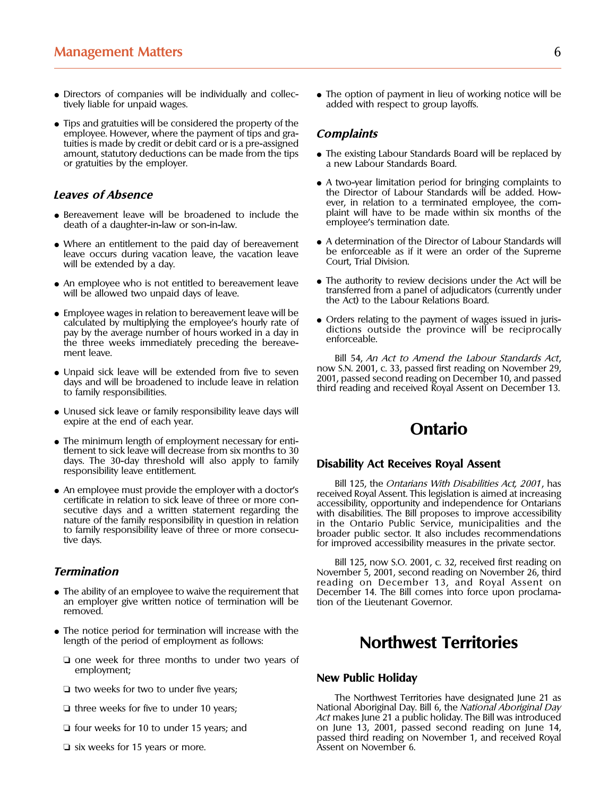- 
- Tips and gratuities will be considered the property of the employee. However, where the payment of tips and gra-<br>tuities is made by credit or debit card or is a pre-assigned<br>amount, statutory deductions can be made from the tips <br>• The existing Labour Standards Board will be repla amount, statutory deductions can be made from the tips or gratuities by the employer. a new Labour Standards Board.

- Bereavement leave will be broadened to include the plaint will have to be made death of a daughter-in-law or son-in-law death of a daughter-in-law or son-in-law.
- will be extended by a day.
- 
- Employee wages in relation to be reavement leave will be<br>calculated by multiplying the employee's hourly rate of<br>pay by the average number of hours worked in a day in<br>the three weeks immediately preceding the bereave-<br>me
- Unpaid sick leave will be extended from five to seven<br>days and will be broadened to include leave in relation<br>to family responsibilities.<br>to family responsibilities.
- Unused sick leave or family responsibility leave days will expire at the end of each year. **Ontario**
- The minimum length of employment necessary for entitlement to sick leave will decrease from six months to 30 days. The 30-day threshold will also apply to family **Disability Act Receives Royal Assent** responsibility leave entitlement.
- 

- an employer give written notice of termination will be removed.
- The notice period for termination will increase with the length of the period of employment as follows:
	- ❏ one week for three months to under two years of
	-
	-
	-
	- $\Box$  six weeks for 15 years or more.

• Directors of companies will be individually and collec- • The option of payment in lieu of working notice will be tively liable for unpaid wages.<br>
dded with respect to group layoffs. added with respect to group layoffs.

- 
- A two-year limitation period for bringing complaints to the Director of Labour Standards will be added. How-**Leaves of Absence Leaves of Absence**<br>**explores the Director of Labour Standards will be added. How-<br><b>explores the plaint will have to be made within six months of the explorence to a terminated employee, the com-**
- Where an entitlement to the paid day of bereavement  $\bullet$  A determination of the Director of Labour Standards will leave occurs during vacation leave, the vacation leave  $\bullet$  Court, Trial Division.
- An employee who is not entitled to bereavement leave The authority to review decisions under the Act will be transferred from a panel of adjudicators (currently under will be allowed two unpaid days of leave. transferred from a panel of adjudicators (currently under the Act) to the Labour Relations Board.
	-

Bill 54, An Act to Amend the Labour Standards Act, now S.N. 2001, c. 33, passed first reading on November 29,

• An employee must provide the employer with a doctor's<br>certificate in relation to sick leave of three or more con-<br>secutive days and a written statement regarding the<br>nature of the family responsibility in question in rel

Bill 125, now S.O. 2001, c. 32, received first reading on **Termination November** 5, 2001, second reading on November 26, third reading on December 13, and Royal Assent on • The ability of an employee to waive the requirement that December 14. The Bill comes into force upon proclama-<br>an employer give written notice of termination will be tion of the Lieutenant Governor.

## **Northwest Territories**

### **New Public Holiday**

❏ two weeks for two to under five years; The Northwest Territories have designated June 21 as ❏ three weeks for five to under 10 years; National Aboriginal Day. Bill 6, the National Aboriginal Day Act makes June 21 a public holiday. The Bill was introduced ❏ four weeks for 10 to under 15 years; and on June 13, 2001, passed second reading on June 14, passed third reading on November 1, and received Royal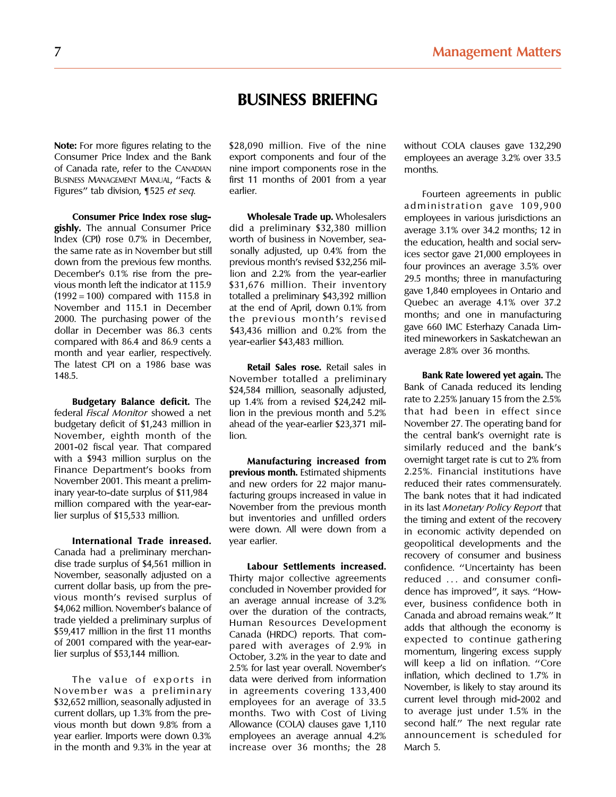## **BUSINESS BRIEFING**

month and year earlier, respectively.<br>The latest CPI on a 1986 base was **potal Sales rese** Betail sales in The latest CPI on a 1986 base was **Retail Sales rose.** Retail sales in

federal *Fiscal Monitor* showed a net lion in the previous month and 5.2% that had been in effect since<br>budgetary deficit of \$1.243 million in ahead of the year-earlier \$23.371 mil- November 27. The operating band for budgetary deficit of \$1,243 million in ahead of the year-earlier \$23,371 mil-November, eighth month of the lion. the central bank's overnight rate is 2001-02 fiscal year. That compared similarly reduced and the bank's with a \$943 million surplus on the **Manufacturing increased from** overnight target rate is cut to 2% from<br>Finance Department's books from **previous month** Estimated shipments 2.25%. Financial institutions have Finance Department's books from **previous month.** Estimated shipments November 2001. This meant a prelim-

in the month and  $9.3\%$  in the year at

Consumer Price Index and the Bank export components and four of the employees an average 3.2% over 33.5 of Canada rate, refer to the Canapian inne import components rose in the months of Canada rate, refer to the CANADIAN inne import components rose in the months.<br>BUSINESS MANAGEMENT MANUAL, "Facts & first 11 months of 2001 from a year first 11 months of 2001 from a year Figures" tab division, ¶525 *et seq*. earlier. Fourteen agreements in public

**Consumer Price Index rose slug- Wholesale Trade up.** Wholesalers employees in various jurisdictions an **gishly.** The annual Consumer Price did a preliminary \$32,380 million average 3.1% over 34.2 months: 1.2 in gishly. The annual Consumer Price did a preliminary \$32,380 million average 3.1% over 34.2 months; 12 in and social rential did a preliminary \$32,380 million average 3.1% over 34.2 months; 12 in and social rential metal of Index (CPI) rose 0.7% in December, worth of business in November, sea-<br>the same rate as in November but still<br>down from the previous few months. previous month's revised \$32,256 mil-<br>December's 0.1% rise from the pre-<br>ion

148. **Bank Rate lowered yet again.** The November totalled a preliminary **Bank of Canada reduced its lending**<br>\$24,584 million, seasonally adjusted, Bank of Canada reduced its lending to 1.4% from a revised \$24.242 mil-**Budgetary Balance deficit.** The up 1.4% from a revised \$24,242 mil- rate to 2.25% January 15 from the 2.5%

November 2001. This meant a prelim-<br>inary year-to-date surplus of \$11,984 facturing groups increased in value in The bank notes that it had indicated<br>million compared with the year-ear-<br>November from the previous month in million compared with the year-ear-<br>lier surplus of \$15,533 million. The surplus of the right of the time and extent of the recovery but inventories and unfilled orders the timing and extent of the recovery were down. All were down from a the economic activity depended on were down. All were down from a in economic activity depended on<br>vear earlier.

The value of exports in data were derived from information<br>November was a preliminary in agreements covering 133,400 November, is likely to stay around its<br>\$32.652 million seasonally adjusted in employees for an average of \$32,652 million, seasonally adjusted in employees for an average of 33.5 current level through mid-2002 and sand<br>current dollars up 1.3% from the pre- months. Two with Cost of Living to average just under 1.5% in the current dollars, up 1.3% from the pre- months. Two with Cost of Living to average just under 1.5% in the vious month but down 9.8% from a Allowance (COLA) clauses gave 1,110 second half." The next regular rate<br>vear earlier Imports were down 0.3% employees an average annual 4.2% announcement is scheduled for year earlier. Imports were down  $0.3\%$  employees an average annual  $4.2\%$  announcement in the month and  $9.3\%$  in the year at increase over 36 months; the 28 March 5.

**Note:** For more figures relating to the \$28,090 million. Five of the nine without COLA clauses gave 132,290

administration gave 109,900

International Trade inreased. Wear earlier. and had the cande and he distinting merchan-<br>
Canada had a preliminary merchan-<br>
Say for million in **Labour Settlements increased.** confidence. "Uncertainty has been<br>
been distin